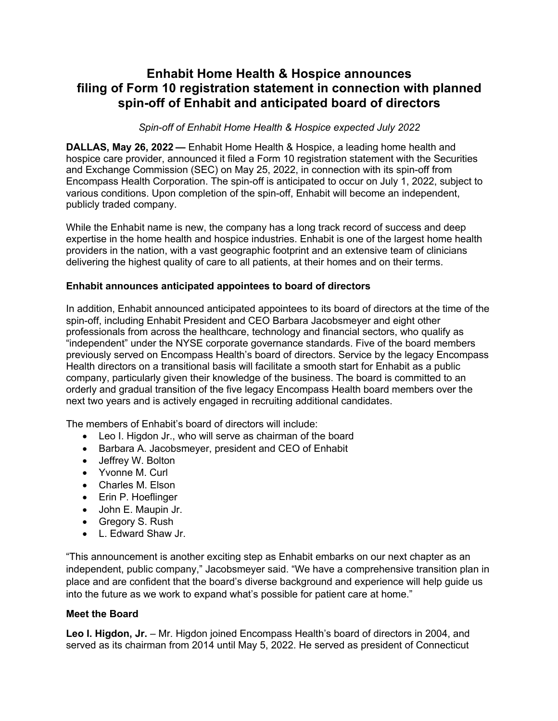# **Enhabit Home Health & Hospice announces filing of Form 10 registration statement in connection with planned spin-off of Enhabit and anticipated board of directors**

*Spin-off of Enhabit Home Health & Hospice expected July 2022*

**DALLAS, May 26, 2022 —** Enhabit Home Health & Hospice, a leading home health and hospice care provider, announced it filed a Form 10 registration statement with the Securities and Exchange Commission (SEC) on May 25, 2022, in connection with its spin-off from Encompass Health Corporation. The spin-off is anticipated to occur on July 1, 2022, subject to various conditions. Upon completion of the spin-off, Enhabit will become an independent, publicly traded company.

While the Enhabit name is new, the company has a long track record of success and deep expertise in the home health and hospice industries. Enhabit is one of the largest home health providers in the nation, with a vast geographic footprint and an extensive team of clinicians delivering the highest quality of care to all patients, at their homes and on their terms.

## **Enhabit announces anticipated appointees to board of directors**

In addition, Enhabit announced anticipated appointees to its board of directors at the time of the spin-off, including Enhabit President and CEO Barbara Jacobsmeyer and eight other professionals from across the healthcare, technology and financial sectors, who qualify as "independent" under the NYSE corporate governance standards. Five of the board members previously served on Encompass Health's board of directors. Service by the legacy Encompass Health directors on a transitional basis will facilitate a smooth start for Enhabit as a public company, particularly given their knowledge of the business. The board is committed to an orderly and gradual transition of the five legacy Encompass Health board members over the next two years and is actively engaged in recruiting additional candidates.

The members of Enhabit's board of directors will include:

- Leo I. Higdon Jr., who will serve as chairman of the board
- Barbara A. Jacobsmeyer, president and CEO of Enhabit
- Jeffrey W. Bolton
- Yvonne M. Curl
- Charles M. Elson
- Erin P. Hoeflinger
- John E. Maupin Jr.
- Gregory S. Rush
- L. Edward Shaw Jr.

"This announcement is another exciting step as Enhabit embarks on our next chapter as an independent, public company," Jacobsmeyer said. "We have a comprehensive transition plan in place and are confident that the board's diverse background and experience will help guide us into the future as we work to expand what's possible for patient care at home."

# **Meet the Board**

**Leo I. Higdon, Jr.** – Mr. Higdon joined Encompass Health's board of directors in 2004, and served as its chairman from 2014 until May 5, 2022. He served as president of Connecticut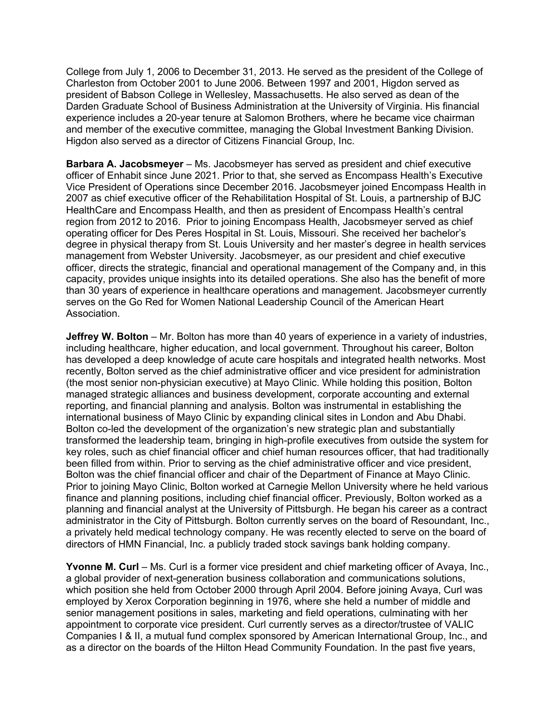College from July 1, 2006 to December 31, 2013. He served as the president of the College of Charleston from October 2001 to June 2006. Between 1997 and 2001, Higdon served as president of Babson College in Wellesley, Massachusetts. He also served as dean of the Darden Graduate School of Business Administration at the University of Virginia. His financial experience includes a 20-year tenure at Salomon Brothers, where he became vice chairman and member of the executive committee, managing the Global Investment Banking Division. Higdon also served as a director of Citizens Financial Group, Inc.

**Barbara A. Jacobsmeyer** – Ms. Jacobsmeyer has served as president and chief executive officer of Enhabit since June 2021. Prior to that, she served as Encompass Health's Executive Vice President of Operations since December 2016. Jacobsmeyer joined Encompass Health in 2007 as chief executive officer of the Rehabilitation Hospital of St. Louis, a partnership of BJC HealthCare and Encompass Health, and then as president of Encompass Health's central region from 2012 to 2016. Prior to joining Encompass Health, Jacobsmeyer served as chief operating officer for Des Peres Hospital in St. Louis, Missouri. She received her bachelor's degree in physical therapy from St. Louis University and her master's degree in health services management from Webster University. Jacobsmeyer, as our president and chief executive officer, directs the strategic, financial and operational management of the Company and, in this capacity, provides unique insights into its detailed operations. She also has the benefit of more than 30 years of experience in healthcare operations and management. Jacobsmeyer currently serves on the Go Red for Women National Leadership Council of the American Heart Association.

**Jeffrey W. Bolton** – Mr. Bolton has more than 40 years of experience in a variety of industries, including healthcare, higher education, and local government. Throughout his career, Bolton has developed a deep knowledge of acute care hospitals and integrated health networks. Most recently, Bolton served as the chief administrative officer and vice president for administration (the most senior non-physician executive) at Mayo Clinic. While holding this position, Bolton managed strategic alliances and business development, corporate accounting and external reporting, and financial planning and analysis. Bolton was instrumental in establishing the international business of Mayo Clinic by expanding clinical sites in London and Abu Dhabi. Bolton co-led the development of the organization's new strategic plan and substantially transformed the leadership team, bringing in high-profile executives from outside the system for key roles, such as chief financial officer and chief human resources officer, that had traditionally been filled from within. Prior to serving as the chief administrative officer and vice president, Bolton was the chief financial officer and chair of the Department of Finance at Mayo Clinic. Prior to joining Mayo Clinic, Bolton worked at Carnegie Mellon University where he held various finance and planning positions, including chief financial officer. Previously, Bolton worked as a planning and financial analyst at the University of Pittsburgh. He began his career as a contract administrator in the City of Pittsburgh. Bolton currently serves on the board of Resoundant, Inc., a privately held medical technology company. He was recently elected to serve on the board of directors of HMN Financial, Inc. a publicly traded stock savings bank holding company.

**Yvonne M. Curl** – Ms. Curl is a former vice president and chief marketing officer of Avaya, Inc., a global provider of next-generation business collaboration and communications solutions, which position she held from October 2000 through April 2004. Before joining Avaya, Curl was employed by Xerox Corporation beginning in 1976, where she held a number of middle and senior management positions in sales, marketing and field operations, culminating with her appointment to corporate vice president. Curl currently serves as a director/trustee of VALIC Companies I & II, a mutual fund complex sponsored by American International Group, Inc., and as a director on the boards of the Hilton Head Community Foundation. In the past five years,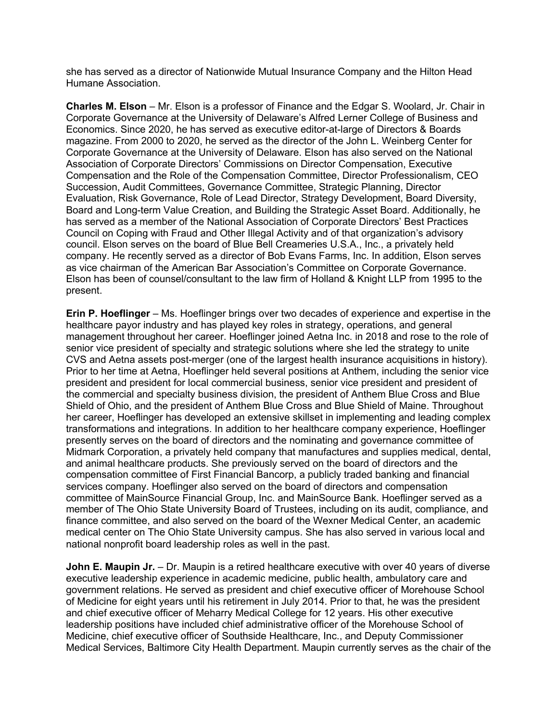she has served as a director of Nationwide Mutual Insurance Company and the Hilton Head Humane Association.

**Charles M. Elson** – Mr. Elson is a professor of Finance and the Edgar S. Woolard, Jr. Chair in Corporate Governance at the University of Delaware's Alfred Lerner College of Business and Economics. Since 2020, he has served as executive editor-at-large of Directors & Boards magazine. From 2000 to 2020, he served as the director of the John L. Weinberg Center for Corporate Governance at the University of Delaware. Elson has also served on the National Association of Corporate Directors' Commissions on Director Compensation, Executive Compensation and the Role of the Compensation Committee, Director Professionalism, CEO Succession, Audit Committees, Governance Committee, Strategic Planning, Director Evaluation, Risk Governance, Role of Lead Director, Strategy Development, Board Diversity, Board and Long-term Value Creation, and Building the Strategic Asset Board. Additionally, he has served as a member of the National Association of Corporate Directors' Best Practices Council on Coping with Fraud and Other Illegal Activity and of that organization's advisory council. Elson serves on the board of Blue Bell Creameries U.S.A., Inc., a privately held company. He recently served as a director of Bob Evans Farms, Inc. In addition, Elson serves as vice chairman of the American Bar Association's Committee on Corporate Governance. Elson has been of counsel/consultant to the law firm of Holland & Knight LLP from 1995 to the present.

**Erin P. Hoeflinger** – Ms. Hoeflinger brings over two decades of experience and expertise in the healthcare payor industry and has played key roles in strategy, operations, and general management throughout her career. Hoeflinger joined Aetna Inc. in 2018 and rose to the role of senior vice president of specialty and strategic solutions where she led the strategy to unite CVS and Aetna assets post-merger (one of the largest health insurance acquisitions in history). Prior to her time at Aetna, Hoeflinger held several positions at Anthem, including the senior vice president and president for local commercial business, senior vice president and president of the commercial and specialty business division, the president of Anthem Blue Cross and Blue Shield of Ohio, and the president of Anthem Blue Cross and Blue Shield of Maine. Throughout her career, Hoeflinger has developed an extensive skillset in implementing and leading complex transformations and integrations. In addition to her healthcare company experience, Hoeflinger presently serves on the board of directors and the nominating and governance committee of Midmark Corporation, a privately held company that manufactures and supplies medical, dental, and animal healthcare products. She previously served on the board of directors and the compensation committee of First Financial Bancorp, a publicly traded banking and financial services company. Hoeflinger also served on the board of directors and compensation committee of MainSource Financial Group, Inc. and MainSource Bank. Hoeflinger served as a member of The Ohio State University Board of Trustees, including on its audit, compliance, and finance committee, and also served on the board of the Wexner Medical Center, an academic medical center on The Ohio State University campus. She has also served in various local and national nonprofit board leadership roles as well in the past.

**John E. Maupin Jr.** – Dr. Maupin is a retired healthcare executive with over 40 years of diverse executive leadership experience in academic medicine, public health, ambulatory care and government relations. He served as president and chief executive officer of Morehouse School of Medicine for eight years until his retirement in July 2014. Prior to that, he was the president and chief executive officer of Meharry Medical College for 12 years. His other executive leadership positions have included chief administrative officer of the Morehouse School of Medicine, chief executive officer of Southside Healthcare, Inc., and Deputy Commissioner Medical Services, Baltimore City Health Department. Maupin currently serves as the chair of the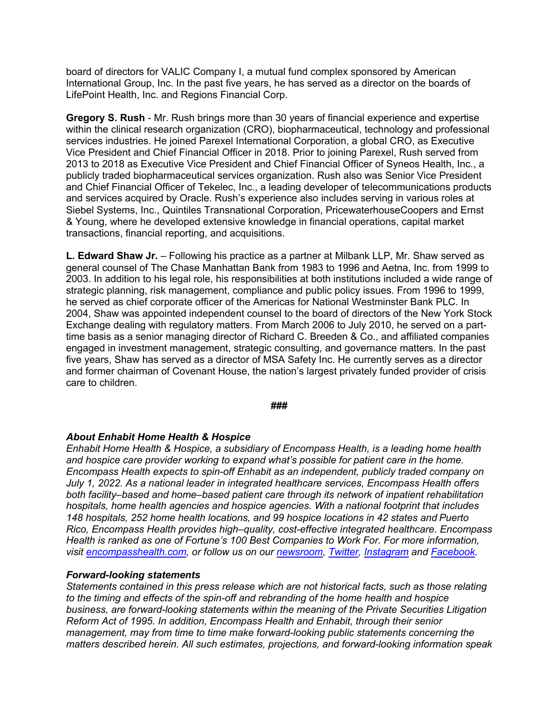board of directors for VALIC Company I, a mutual fund complex sponsored by American International Group, Inc. In the past five years, he has served as a director on the boards of LifePoint Health, Inc. and Regions Financial Corp.

**Gregory S. Rush** - Mr. Rush brings more than 30 years of financial experience and expertise within the clinical research organization (CRO), biopharmaceutical, technology and professional services industries. He joined Parexel International Corporation, a global CRO, as Executive Vice President and Chief Financial Officer in 2018. Prior to joining Parexel, Rush served from 2013 to 2018 as Executive Vice President and Chief Financial Officer of Syneos Health, Inc., a publicly traded biopharmaceutical services organization. Rush also was Senior Vice President and Chief Financial Officer of Tekelec, Inc., a leading developer of telecommunications products and services acquired by Oracle. Rush's experience also includes serving in various roles at Siebel Systems, Inc., Quintiles Transnational Corporation, PricewaterhouseCoopers and Ernst & Young, where he developed extensive knowledge in financial operations, capital market transactions, financial reporting, and acquisitions.

**L. Edward Shaw Jr.** – Following his practice as a partner at Milbank LLP, Mr. Shaw served as general counsel of The Chase Manhattan Bank from 1983 to 1996 and Aetna, Inc. from 1999 to 2003. In addition to his legal role, his responsibilities at both institutions included a wide range of strategic planning, risk management, compliance and public policy issues. From 1996 to 1999, he served as chief corporate officer of the Americas for National Westminster Bank PLC. In 2004, Shaw was appointed independent counsel to the board of directors of the New York Stock Exchange dealing with regulatory matters. From March 2006 to July 2010, he served on a parttime basis as a senior managing director of Richard C. Breeden & Co., and affiliated companies engaged in investment management, strategic consulting, and governance matters. In the past five years, Shaw has served as a director of MSA Safety Inc. He currently serves as a director and former chairman of Covenant House, the nation's largest privately funded provider of crisis care to children.

#### **###**

## *About Enhabit Home Health & Hospice*

*Enhabit Home Health & Hospice, a subsidiary of Encompass Health, is a leading home health and hospice care provider working to expand what's possible for patient care in the home. Encompass Health expects to spin-off Enhabit as an independent, publicly traded company on July 1, 2022. As a national leader in integrated healthcare services, Encompass Health offers both facility–based and home–based patient care through its network of inpatient rehabilitation hospitals, home health agencies and hospice agencies. With a national footprint that includes 148 hospitals, 252 home health locations, and 99 hospice locations in 42 states and Puerto Rico, Encompass Health provides high–quality, cost-effective integrated healthcare. Encompass Health is ranked as one of Fortune's 100 Best Companies to Work For. For more information, visit encompasshealth.com, or follow us on our newsroom, Twitter, Instagram and Facebook.*

## *Forward-looking statements*

*Statements contained in this press release which are not historical facts, such as those relating to the timing and effects of the spin-off and rebranding of the home health and hospice business, are forward-looking statements within the meaning of the Private Securities Litigation Reform Act of 1995. In addition, Encompass Health and Enhabit, through their senior management, may from time to time make forward-looking public statements concerning the matters described herein. All such estimates, projections, and forward-looking information speak*